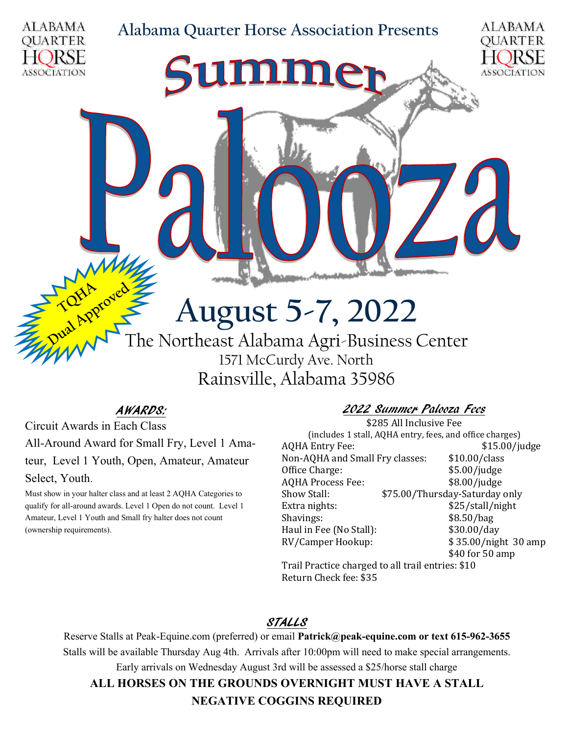#### **Alabama Quarter Horse Association Presents**





# **August 5-7, 2022**

The Northeast Alabama Agri-Business Center 1571 McCurdy Ave. North Rainsville, Alabama 35986

#### AWARDS:

Circuit Awards in Each Class All-Around Award for Small Fry, Level 1 Amateur, Level 1 Youth, Open, Amateur, Amateur Select, Youth.

Must show in your halter class and at least 2 AQHA Categories to qualify for all-around awards. Level 1 Open do not count. Level 1 Amateur, Level 1 Youth and Small fry halter does not count (ownership requirements).

#### 2022 Summer Palooza Fees

\$285 All Inclusive Fee (includes 1 stall, AQHA entry, fees, and office charges) AQHA Entry Fee:  $$15.00/judge$ Non-AQHA and Small Fry classes: \$10.00/class Office Charge:  $$5.00/i$ udge AQHA Process Fee: \$8.00/judge Show Stall:  $$75.00/T$ hursday-Saturday only Extra nights:  $$25/stall/night$ Shavings: \$8.50/bag Haul in Fee (No Stall): \$30.00/day RV/Camper Hookup: \$ 35.00/night 30 amp \$40 for 50 amp

Trail Practice charged to all trail entries: \$10 Return Check fee: \$35

#### STALLS

Reserve Stalls at Peak-Equine.com (preferred) or email **Patrick@peak-equine.com or text 615-962-3655** Stalls will be available Thursday Aug 4th. Arrivals after 10:00pm will need to make special arrangements. Early arrivals on Wednesday August 3rd will be assessed a \$25/horse stall charge **ALL HORSES ON THE GROUNDS OVERNIGHT MUST HAVE A STALL NEGATIVE COGGINS REQUIRED**